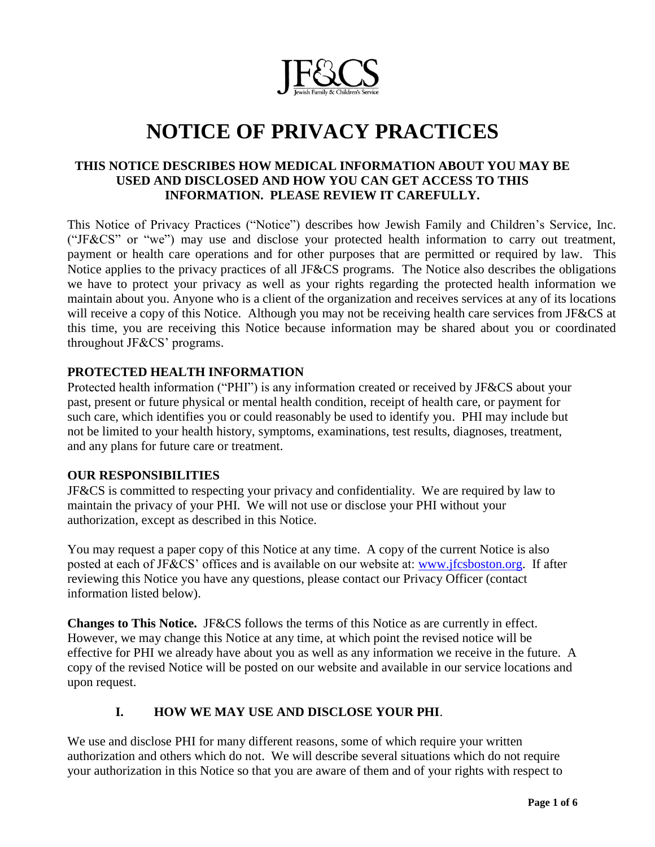

# **NOTICE OF PRIVACY PRACTICES**

### **THIS NOTICE DESCRIBES HOW MEDICAL INFORMATION ABOUT YOU MAY BE USED AND DISCLOSED AND HOW YOU CAN GET ACCESS TO THIS INFORMATION. PLEASE REVIEW IT CAREFULLY.**

This Notice of Privacy Practices ("Notice") describes how Jewish Family and Children's Service, Inc. ("JF&CS" or "we") may use and disclose your protected health information to carry out treatment, payment or health care operations and for other purposes that are permitted or required by law. This Notice applies to the privacy practices of all JF&CS programs. The Notice also describes the obligations we have to protect your privacy as well as your rights regarding the protected health information we maintain about you. Anyone who is a client of the organization and receives services at any of its locations will receive a copy of this Notice. Although you may not be receiving health care services from JF&CS at this time, you are receiving this Notice because information may be shared about you or coordinated throughout JF&CS' programs.

#### **PROTECTED HEALTH INFORMATION**

Protected health information ("PHI") is any information created or received by JF&CS about your past, present or future physical or mental health condition, receipt of health care, or payment for such care, which identifies you or could reasonably be used to identify you. PHI may include but not be limited to your health history, symptoms, examinations, test results, diagnoses, treatment, and any plans for future care or treatment.

#### **OUR RESPONSIBILITIES**

JF&CS is committed to respecting your privacy and confidentiality. We are required by law to maintain the privacy of your PHI. We will not use or disclose your PHI without your authorization, except as described in this Notice.

You may request a paper copy of this Notice at any time. A copy of the current Notice is also posted at each of JF&CS' offices and is available on our website at: [www.jfcsboston.org.](http://www.jfcsboston.org/) If after reviewing this Notice you have any questions, please contact our Privacy Officer (contact information listed below).

**Changes to This Notice.** JF&CS follows the terms of this Notice as are currently in effect. However, we may change this Notice at any time, at which point the revised notice will be effective for PHI we already have about you as well as any information we receive in the future. A copy of the revised Notice will be posted on our website and available in our service locations and upon request.

#### **I. HOW WE MAY USE AND DISCLOSE YOUR PHI**.

We use and disclose PHI for many different reasons, some of which require your written authorization and others which do not. We will describe several situations which do not require your authorization in this Notice so that you are aware of them and of your rights with respect to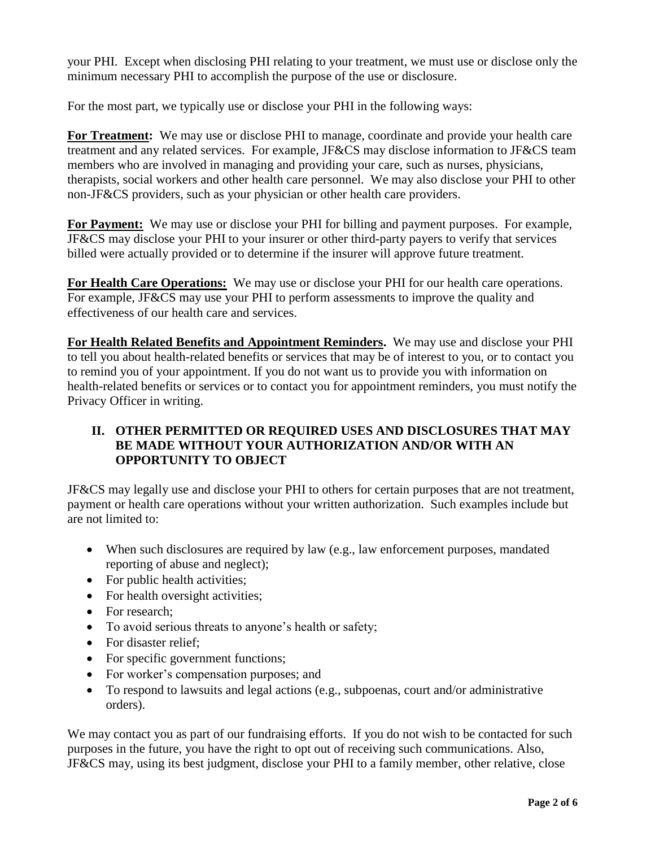your PHI. Except when disclosing PHI relating to your treatment, we must use or disclose only the minimum necessary PHI to accomplish the purpose of the use or disclosure.

For the most part, we typically use or disclose your PHI in the following ways:

**For Treatment:** We may use or disclose PHI to manage, coordinate and provide your health care treatment and any related services. For example, JF&CS may disclose information to JF&CS team members who are involved in managing and providing your care, such as nurses, physicians, therapists, social workers and other health care personnel. We may also disclose your PHI to other non-JF&CS providers, such as your physician or other health care providers.

**For Payment:** We may use or disclose your PHI for billing and payment purposes. For example, JF&CS may disclose your PHI to your insurer or other third-party payers to verify that services billed were actually provided or to determine if the insurer will approve future treatment.

For Health Care Operations: We may use or disclose your PHI for our health care operations. For example, JF&CS may use your PHI to perform assessments to improve the quality and effectiveness of our health care and services.

**For Health Related Benefits and Appointment Reminders.** We may use and disclose your PHI to tell you about health-related benefits or services that may be of interest to you, or to contact you to remind you of your appointment. If you do not want us to provide you with information on health-related benefits or services or to contact you for appointment reminders, you must notify the Privacy Officer in writing.

# **II. OTHER PERMITTED OR REQUIRED USES AND DISCLOSURES THAT MAY BE MADE WITHOUT YOUR AUTHORIZATION AND/OR WITH AN OPPORTUNITY TO OBJECT**

JF&CS may legally use and disclose your PHI to others for certain purposes that are not treatment, payment or health care operations without your written authorization. Such examples include but are not limited to:

- When such disclosures are required by law (e.g., law enforcement purposes, mandated reporting of abuse and neglect);
- For public health activities;
- For health oversight activities:
- For research;
- To avoid serious threats to anyone's health or safety;
- For disaster relief:
- For specific government functions;
- For worker's compensation purposes; and
- To respond to lawsuits and legal actions (e.g., subpoenas, court and/or administrative orders).

We may contact you as part of our fundraising efforts. If you do not wish to be contacted for such purposes in the future, you have the right to opt out of receiving such communications. Also, JF&CS may, using its best judgment, disclose your PHI to a family member, other relative, close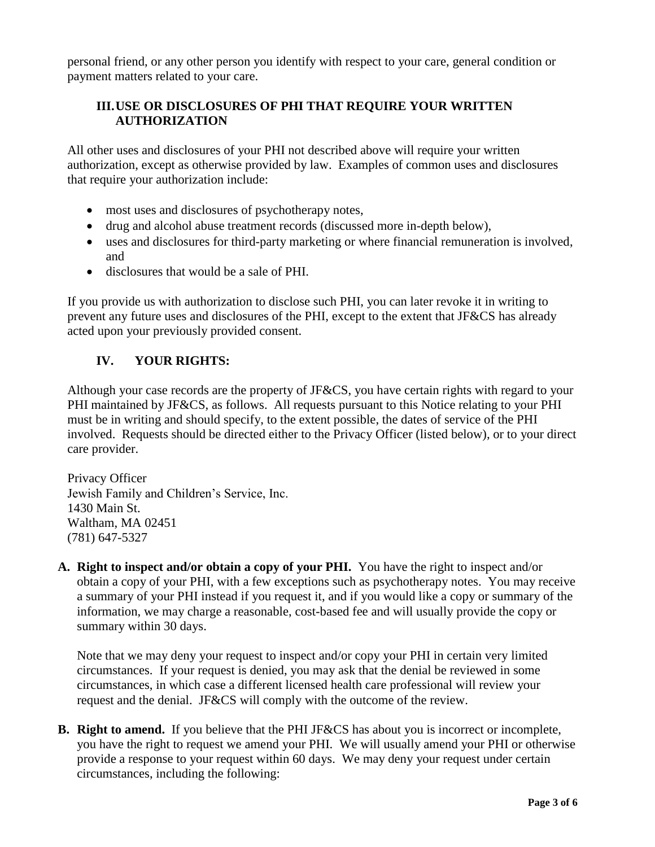personal friend, or any other person you identify with respect to your care, general condition or payment matters related to your care.

# **III.USE OR DISCLOSURES OF PHI THAT REQUIRE YOUR WRITTEN AUTHORIZATION**

All other uses and disclosures of your PHI not described above will require your written authorization, except as otherwise provided by law. Examples of common uses and disclosures that require your authorization include:

- most uses and disclosures of psychotherapy notes,
- drug and alcohol abuse treatment records (discussed more in-depth below),
- uses and disclosures for third-party marketing or where financial remuneration is involved, and
- disclosures that would be a sale of PHI.

If you provide us with authorization to disclose such PHI, you can later revoke it in writing to prevent any future uses and disclosures of the PHI, except to the extent that JF&CS has already acted upon your previously provided consent.

## **IV. YOUR RIGHTS:**

Although your case records are the property of JF&CS, you have certain rights with regard to your PHI maintained by JF&CS, as follows. All requests pursuant to this Notice relating to your PHI must be in writing and should specify, to the extent possible, the dates of service of the PHI involved. Requests should be directed either to the Privacy Officer (listed below), or to your direct care provider.

Privacy Officer Jewish Family and Children's Service, Inc. 1430 Main St. Waltham, MA 02451 (781) 647-5327

**A. Right to inspect and/or obtain a copy of your PHI.** You have the right to inspect and/or obtain a copy of your PHI, with a few exceptions such as psychotherapy notes. You may receive a summary of your PHI instead if you request it, and if you would like a copy or summary of the information, we may charge a reasonable, cost-based fee and will usually provide the copy or summary within 30 days.

Note that we may deny your request to inspect and/or copy your PHI in certain very limited circumstances. If your request is denied, you may ask that the denial be reviewed in some circumstances, in which case a different licensed health care professional will review your request and the denial. JF&CS will comply with the outcome of the review.

**B. Right to amend.** If you believe that the PHI JF&CS has about you is incorrect or incomplete, you have the right to request we amend your PHI. We will usually amend your PHI or otherwise provide a response to your request within 60 days. We may deny your request under certain circumstances, including the following: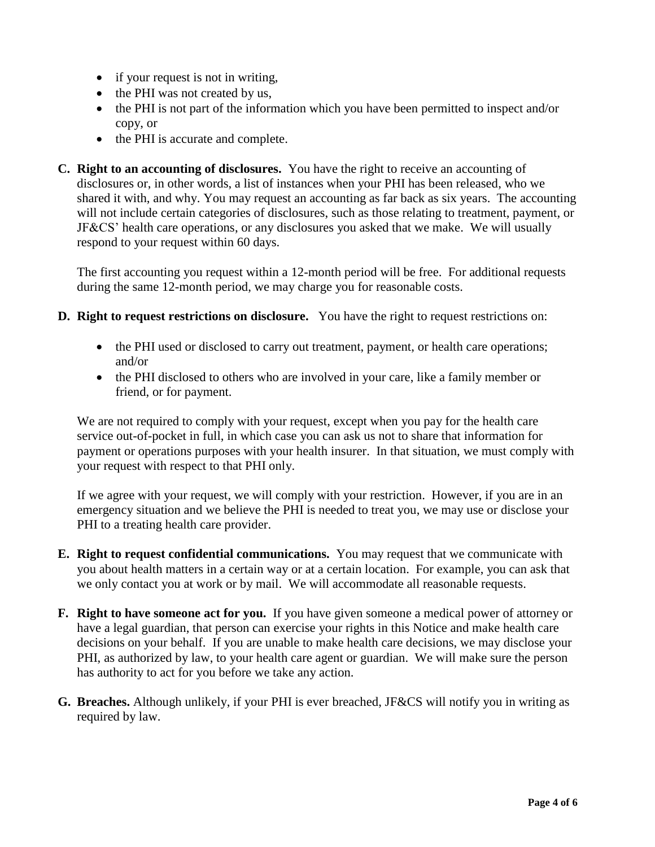- if your request is not in writing,
- the PHI was not created by us,
- the PHI is not part of the information which you have been permitted to inspect and/or copy, or
- the PHI is accurate and complete.
- **C. Right to an accounting of disclosures.** You have the right to receive an accounting of disclosures or, in other words, a list of instances when your PHI has been released, who we shared it with, and why. You may request an accounting as far back as six years. The accounting will not include certain categories of disclosures, such as those relating to treatment, payment, or JF&CS' health care operations, or any disclosures you asked that we make. We will usually respond to your request within 60 days.

The first accounting you request within a 12-month period will be free. For additional requests during the same 12-month period, we may charge you for reasonable costs.

- **D. Right to request restrictions on disclosure.** You have the right to request restrictions on:
	- the PHI used or disclosed to carry out treatment, payment, or health care operations; and/or
	- the PHI disclosed to others who are involved in your care, like a family member or friend, or for payment.

We are not required to comply with your request, except when you pay for the health care service out-of-pocket in full, in which case you can ask us not to share that information for payment or operations purposes with your health insurer. In that situation, we must comply with your request with respect to that PHI only.

If we agree with your request, we will comply with your restriction. However, if you are in an emergency situation and we believe the PHI is needed to treat you, we may use or disclose your PHI to a treating health care provider.

- **E. Right to request confidential communications.** You may request that we communicate with you about health matters in a certain way or at a certain location. For example, you can ask that we only contact you at work or by mail. We will accommodate all reasonable requests.
- **F. Right to have someone act for you.** If you have given someone a medical power of attorney or have a legal guardian, that person can exercise your rights in this Notice and make health care decisions on your behalf. If you are unable to make health care decisions, we may disclose your PHI, as authorized by law, to your health care agent or guardian. We will make sure the person has authority to act for you before we take any action.
- **G. Breaches.** Although unlikely, if your PHI is ever breached, JF&CS will notify you in writing as required by law.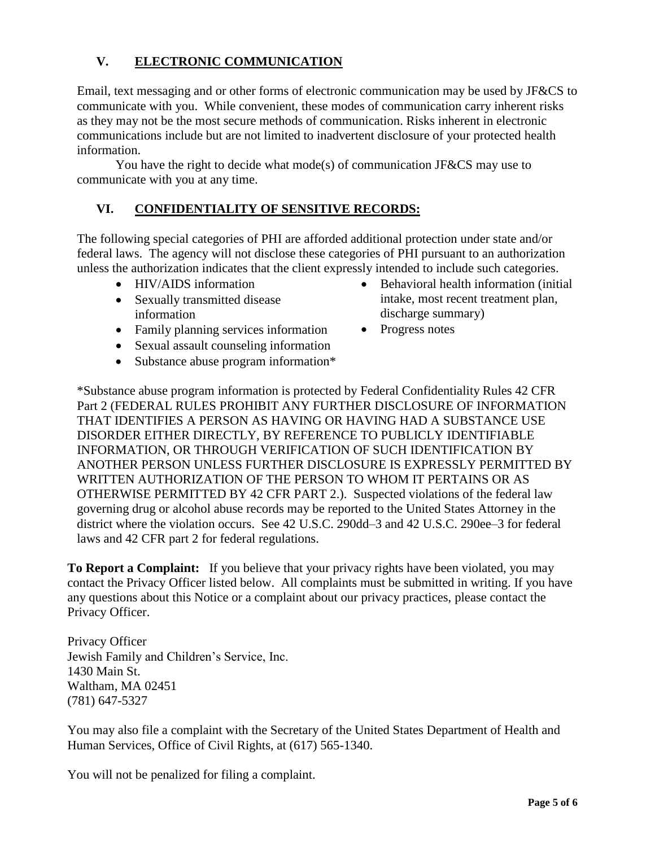# **V. ELECTRONIC COMMUNICATION**

Email, text messaging and or other forms of electronic communication may be used by JF&CS to communicate with you. While convenient, these modes of communication carry inherent risks as they may not be the most secure methods of communication. Risks inherent in electronic communications include but are not limited to inadvertent disclosure of your protected health information.

You have the right to decide what mode(s) of communication JF&CS may use to communicate with you at any time.

# **VI. CONFIDENTIALITY OF SENSITIVE RECORDS:**

The following special categories of PHI are afforded additional protection under state and/or federal laws. The agency will not disclose these categories of PHI pursuant to an authorization unless the authorization indicates that the client expressly intended to include such categories.

- HIV/AIDS information
- Sexually transmitted disease information
- Family planning services information
- Sexual assault counseling information
- Substance abuse program information\*
- Behavioral health information (initial intake, most recent treatment plan, discharge summary)
- Progress notes

\*Substance abuse program information is protected by Federal Confidentiality Rules 42 CFR Part 2 (FEDERAL RULES PROHIBIT ANY FURTHER DISCLOSURE OF INFORMATION THAT IDENTIFIES A PERSON AS HAVING OR HAVING HAD A SUBSTANCE USE DISORDER EITHER DIRECTLY, BY REFERENCE TO PUBLICLY IDENTIFIABLE INFORMATION, OR THROUGH VERIFICATION OF SUCH IDENTIFICATION BY ANOTHER PERSON UNLESS FURTHER DISCLOSURE IS EXPRESSLY PERMITTED BY WRITTEN AUTHORIZATION OF THE PERSON TO WHOM IT PERTAINS OR AS OTHERWISE PERMITTED BY 42 CFR PART 2.). Suspected violations of the federal law governing drug or alcohol abuse records may be reported to the United States Attorney in the district where the violation occurs. See 42 U.S.C. 290dd–3 and 42 U.S.C. 290ee–3 for federal laws and 42 CFR part 2 for federal regulations.

**To Report a Complaint:** If you believe that your privacy rights have been violated, you may contact the Privacy Officer listed below. All complaints must be submitted in writing. If you have any questions about this Notice or a complaint about our privacy practices, please contact the Privacy Officer.

Privacy Officer Jewish Family and Children's Service, Inc. 1430 Main St. Waltham, MA 02451 (781) 647-5327

You may also file a complaint with the Secretary of the United States Department of Health and Human Services, Office of Civil Rights, at (617) 565-1340.

You will not be penalized for filing a complaint.